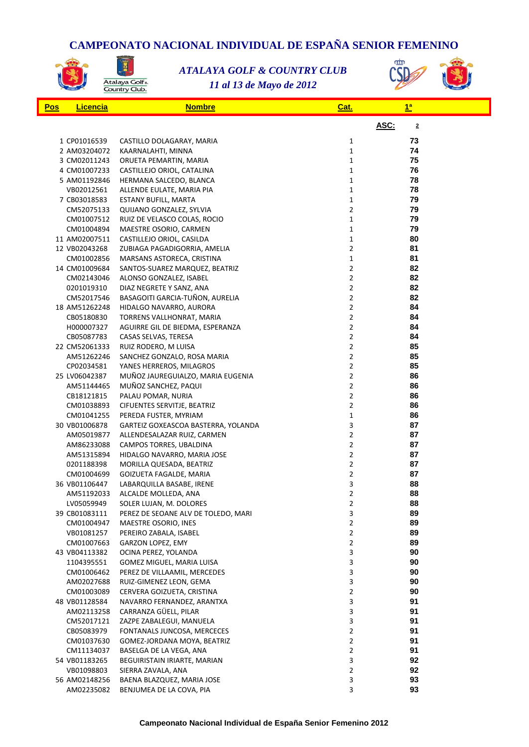## **CAMPEONATO NACIONAL INDIVIDUAL DE ESPAÑA SENIOR FEMENINO**<br>ATALAYA GOLF & COUNTRY CLUB<br>COUNTRY CLUB (SD<sub>EX</sub> de Mayo de 2012)



図

*11 al 13 de Mayo de 2012 ATALAYA GOLF & COUNTRY CLUB*



| <u>Pos</u> | <b>Licencia</b>             | <b>Nombre</b>                                       | Cat.                             | $\frac{1}{2}$                   |  |
|------------|-----------------------------|-----------------------------------------------------|----------------------------------|---------------------------------|--|
|            |                             |                                                     |                                  | ASC:<br>$\overline{\mathbf{2}}$ |  |
|            | 1 CP01016539                | CASTILLO DOLAGARAY, MARIA                           | $\mathbf{1}$                     | 73                              |  |
|            | 2 AM03204072                | KAARNALAHTI, MINNA                                  | $\mathbf{1}$                     | 74                              |  |
|            | 3 CM02011243                | ORUETA PEMARTIN, MARIA                              | $\mathbf{1}$                     | 75                              |  |
|            | 4 CM01007233                | CASTILLEJO ORIOL, CATALINA                          | $\mathbf{1}$                     | 76                              |  |
|            | 5 AM01192846                | HERMANA SALCEDO, BLANCA                             | $\mathbf{1}$                     | 78                              |  |
|            | VB02012561                  | ALLENDE EULATE, MARIA PIA                           | $\mathbf{1}$                     | 78                              |  |
|            | 7 CB03018583                | ESTANY BUFILL, MARTA                                | $\mathbf{1}$                     | 79                              |  |
|            | CM52075133                  | QUIJANO GONZALEZ, SYLVIA                            | $\overline{2}$                   | 79                              |  |
|            | CM01007512                  | RUIZ DE VELASCO COLAS, ROCIO                        | $\mathbf{1}$                     | 79                              |  |
|            | CM01004894                  | MAESTRE OSORIO, CARMEN                              | $\mathbf 1$                      | 79                              |  |
|            | 11 AM02007511               | CASTILLEJO ORIOL, CASILDA                           | $\mathbf{1}$                     | 80                              |  |
|            | 12 VB02043268               | ZUBIAGA PAGADIGORRIA, AMELIA                        | $\overline{2}$                   | 81                              |  |
|            | CM01002856                  | MARSANS ASTORECA, CRISTINA                          | $\mathbf{1}$                     | 81                              |  |
|            | 14 CM01009684               | SANTOS-SUAREZ MARQUEZ, BEATRIZ                      | $\overline{2}$                   | 82                              |  |
|            | CM02143046                  | ALONSO GONZALEZ, ISABEL                             | $\overline{2}$                   | 82                              |  |
|            | 0201019310                  | DIAZ NEGRETE Y SANZ, ANA                            | $\mathbf{2}$                     | 82                              |  |
|            | CM52017546                  | BASAGOITI GARCIA-TUÑON, AURELIA                     | $\overline{2}$                   | 82                              |  |
|            | 18 AM51262248               | HIDALGO NAVARRO, AURORA                             | 2                                | 84                              |  |
|            | CB05180830                  | TORRENS VALLHONRAT, MARIA                           | 2                                | 84                              |  |
|            | H000007327                  | AGUIRRE GIL DE BIEDMA, ESPERANZA                    | $\overline{2}$<br>$\overline{2}$ | 84<br>84                        |  |
|            | CB05087783<br>22 CM52061333 | CASAS SELVAS, TERESA                                | $\mathbf{2}$                     | 85                              |  |
|            | AM51262246                  | RUIZ RODERO, M LUISA<br>SANCHEZ GONZALO, ROSA MARIA | $\mathbf{2}$                     | 85                              |  |
|            | CP02034581                  | YANES HERREROS, MILAGROS                            | 2                                | 85                              |  |
|            | 25 LV06042387               | MUÑOZ JAUREGUIALZO, MARIA EUGENIA                   | 2                                | 86                              |  |
|            | AM51144465                  | MUÑOZ SANCHEZ, PAQUI                                | $\overline{2}$                   | 86                              |  |
|            | CB18121815                  | PALAU POMAR, NURIA                                  | $\overline{2}$                   | 86                              |  |
|            | CM01038893                  | CIFUENTES SERVITJE, BEATRIZ                         | $\overline{\mathbf{c}}$          | 86                              |  |
|            | CM01041255                  | PEREDA FUSTER, MYRIAM                               | $\mathbf{1}$                     | 86                              |  |
|            | 30 VB01006878               | GARTEIZ GOXEASCOA BASTERRA, YOLANDA                 | 3                                | 87                              |  |
|            | AM05019877                  | ALLENDESALAZAR RUIZ, CARMEN                         | 2                                | 87                              |  |
|            | AM86233088                  | CAMPOS TORRES, UBALDINA                             | $\overline{2}$                   | 87                              |  |
|            | AM51315894                  | HIDALGO NAVARRO, MARIA JOSE                         | $\overline{2}$                   | 87                              |  |
|            | 0201188398                  | MORILLA QUESADA, BEATRIZ                            | $\mathbf{2}$                     | 87                              |  |
|            | CM01004699                  | GOIZUETA FAGALDE, MARIA                             | $\mathbf{2}$                     | 87                              |  |
|            | 36 VB01106447               | LABARQUILLA BASABE, IRENE                           | 3                                | 88                              |  |
|            | AM51192033                  | ALCALDE MOLLEDA, ANA                                | $\overline{2}$                   | 88                              |  |
|            | LV05059949                  | SOLER LUJAN, M. DOLORES                             | 2                                | 88                              |  |
|            | 39 CB01083111               | PEREZ DE SEOANE ALV DE TOLEDO, MARI                 | 3                                | 89                              |  |
|            | CM01004947                  | MAESTRE OSORIO, INES                                | $\mathbf{2}$                     | 89                              |  |
|            | VB01081257                  | PEREIRO ZABALA, ISABEL                              | 2                                | 89                              |  |
|            | CM01007663                  | GARZON LOPEZ, EMY                                   | 2                                | 89                              |  |
|            | 43 VB04113382<br>1104395551 | OCINA PEREZ, YOLANDA<br>GOMEZ MIGUEL, MARIA LUISA   | 3<br>3                           | 90<br>90                        |  |
|            | CM01006462                  | PEREZ DE VILLAAMIL, MERCEDES                        | 3                                | 90                              |  |
|            | AM02027688                  | RUIZ-GIMENEZ LEON, GEMA                             | 3                                | 90                              |  |
|            | CM01003089                  | CERVERA GOIZUETA, CRISTINA                          | 2                                | 90                              |  |
|            | 48 VB01128584               | NAVARRO FERNANDEZ, ARANTXA                          | 3                                | 91                              |  |
|            | AM02113258                  | CARRANZA GÜELL, PILAR                               | 3                                | 91                              |  |
|            | CM52017121                  | ZAZPE ZABALEGUI, MANUELA                            | 3                                | 91                              |  |
|            | CB05083979                  | FONTANALS JUNCOSA, MERCECES                         | 2                                | 91                              |  |
|            | CM01037630                  | GOMEZ-JORDANA MOYA, BEATRIZ                         | 2                                | 91                              |  |
|            | CM11134037                  | BASELGA DE LA VEGA, ANA                             | 2                                | 91                              |  |
|            | 54 VB01183265               | <b>BEGUIRISTAIN IRIARTE, MARIAN</b>                 | 3                                | 92                              |  |
|            | VB01098803                  | SIERRA ZAVALA, ANA                                  | 2                                | 92                              |  |
|            | 56 AM02148256               | BAENA BLAZQUEZ, MARIA JOSE                          | 3                                | 93                              |  |
|            | AM02235082                  | BENJUMEA DE LA COVA, PIA                            | 3                                | 93                              |  |